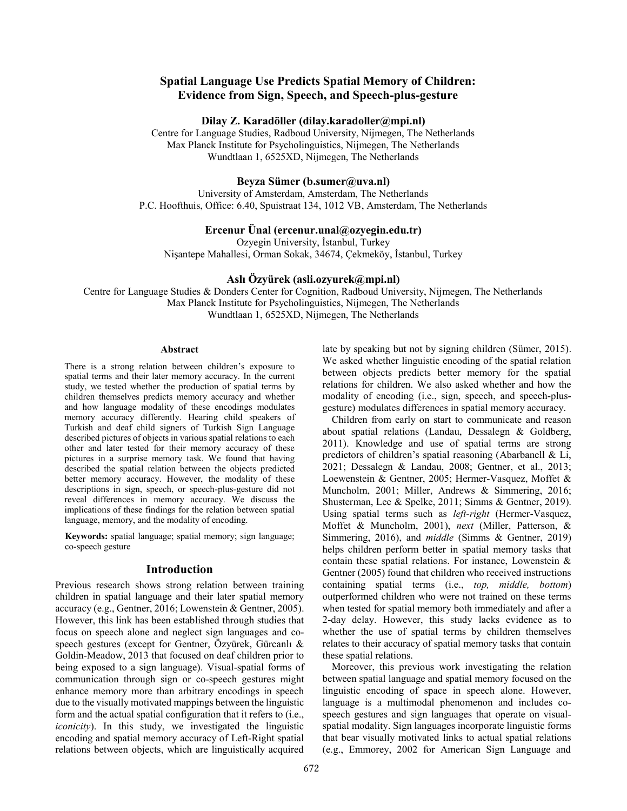# **Spatial Language Use Predicts Spatial Memory of Children: Evidence from Sign, Speech, and Speech-plus-gesture**

#### **Dilay Z. Karadöller (dilay.karadoller@mpi.nl)**

Centre for Language Studies, Radboud University, Nijmegen, The Netherlands Max Planck Institute for Psycholinguistics, Nijmegen, The Netherlands Wundtlaan 1, 6525XD, Nijmegen, The Netherlands

## **Beyza Sümer (b.sumer@uva.nl)**

University of Amsterdam, Amsterdam, The Netherlands P.C. Hoofthuis, Office: 6.40, Spuistraat 134, 1012 VB, Amsterdam, The Netherlands

## **Ercenur Ünal (ercenur.unal@ozyegin.edu.tr)**

Ozyegin University, İstanbul, Turkey Nişantepe Mahallesi, Orman Sokak, 34674, Çekmeköy, İstanbul, Turkey

# **Aslı Özyürek (asli.ozyurek@mpi.nl)**

Centre for Language Studies & Donders Center for Cognition, Radboud University, Nijmegen, The Netherlands Max Planck Institute for Psycholinguistics, Nijmegen, The Netherlands Wundtlaan 1, 6525XD, Nijmegen, The Netherlands

#### **Abstract**

There is a strong relation between children's exposure to spatial terms and their later memory accuracy. In the current study, we tested whether the production of spatial terms by children themselves predicts memory accuracy and whether and how language modality of these encodings modulates memory accuracy differently. Hearing child speakers of Turkish and deaf child signers of Turkish Sign Language described pictures of objects in various spatial relations to each other and later tested for their memory accuracy of these pictures in a surprise memory task. We found that having described the spatial relation between the objects predicted better memory accuracy. However, the modality of these descriptions in sign, speech, or speech-plus-gesture did not reveal differences in memory accuracy. We discuss the implications of these findings for the relation between spatial language, memory, and the modality of encoding.

**Keywords:** spatial language; spatial memory; sign language; co-speech gesture

## **Introduction**

Previous research shows strong relation between training children in spatial language and their later spatial memory accuracy (e.g., Gentner, 2016; Lowenstein & Gentner, 2005). However, this link has been established through studies that focus on speech alone and neglect sign languages and cospeech gestures (except for Gentner, Özyürek, Gürcanlı & Goldin-Meadow, 2013 that focused on deaf children prior to being exposed to a sign language). Visual-spatial forms of communication through sign or co-speech gestures might enhance memory more than arbitrary encodings in speech due to the visually motivated mappings between the linguistic form and the actual spatial configuration that it refers to (i.e., *iconicity*). In this study, we investigated the linguistic encoding and spatial memory accuracy of Left-Right spatial relations between objects, which are linguistically acquired

late by speaking but not by signing children (Sümer, 2015). We asked whether linguistic encoding of the spatial relation between objects predicts better memory for the spatial relations for children. We also asked whether and how the modality of encoding (i.e., sign, speech, and speech-plusgesture) modulates differences in spatial memory accuracy.

Children from early on start to communicate and reason about spatial relations (Landau, Dessalegn & Goldberg, 2011). Knowledge and use of spatial terms are strong predictors of children's spatial reasoning (Abarbanell & Li, 2021; Dessalegn & Landau, 2008; Gentner, et al., 2013; Loewenstein & Gentner, 2005; Hermer-Vasquez, Moffet & Muncholm, 2001; Miller, Andrews & Simmering, 2016; Shusterman, Lee & Spelke, 2011; Simms & Gentner, 2019). Using spatial terms such as *left-right* (Hermer-Vasquez, Moffet & Muncholm, 2001), *next* (Miller, Patterson, & Simmering, 2016), and *middle* (Simms & Gentner, 2019) helps children perform better in spatial memory tasks that contain these spatial relations. For instance, Lowenstein & Gentner (2005) found that children who received instructions containing spatial terms (i.e., *top, middle, bottom*) outperformed children who were not trained on these terms when tested for spatial memory both immediately and after a 2-day delay. However, this study lacks evidence as to whether the use of spatial terms by children themselves relates to their accuracy of spatial memory tasks that contain these spatial relations.

Moreover, this previous work investigating the relation between spatial language and spatial memory focused on the linguistic encoding of space in speech alone. However, language is a multimodal phenomenon and includes cospeech gestures and sign languages that operate on visualspatial modality. Sign languages incorporate linguistic forms that bear visually motivated links to actual spatial relations (e.g., Emmorey, 2002 for American Sign Language and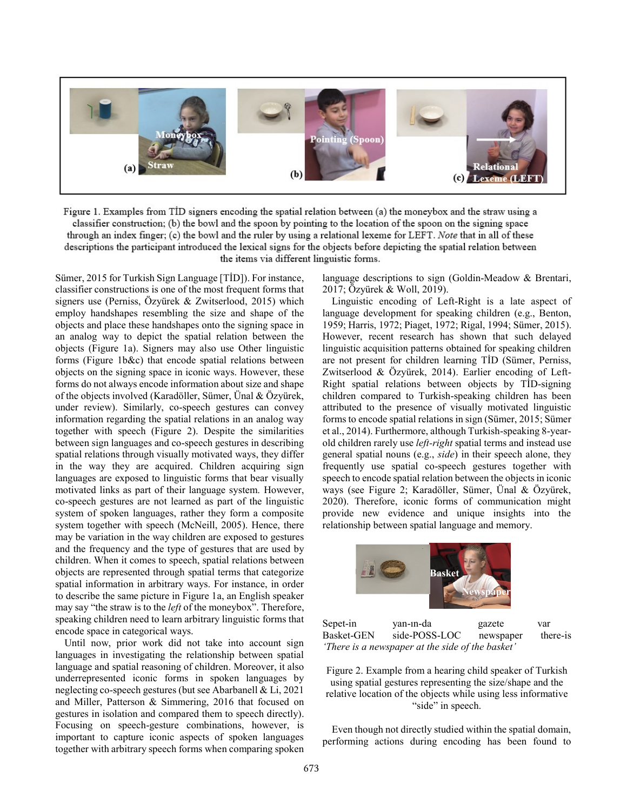

Figure 1. Examples from TID signers encoding the spatial relation between (a) the moneybox and the straw using a classifier construction; (b) the bowl and the spoon by pointing to the location of the spoon on the signing space through an index finger; (c) the bowl and the ruler by using a relational lexeme for LEFT. Note that in all of these descriptions the participant introduced the lexical signs for the objects before depicting the spatial relation between the items via different linguistic forms.

Sümer, 2015 for Turkish Sign Language [TİD]). For instance, classifier constructions is one of the most frequent forms that signers use (Perniss, Özyürek & Zwitserlood, 2015) which employ handshapes resembling the size and shape of the objects and place these handshapes onto the signing space in an analog way to depict the spatial relation between the objects (Figure 1a). Signers may also use Other linguistic forms (Figure 1b&c) that encode spatial relations between objects on the signing space in iconic ways. However, these forms do not always encode information about size and shape of the objects involved (Karadöller, Sümer, Ünal & Özyürek, under review). Similarly, co-speech gestures can convey information regarding the spatial relations in an analog way together with speech (Figure 2). Despite the similarities between sign languages and co-speech gestures in describing spatial relations through visually motivated ways, they differ in the way they are acquired. Children acquiring sign languages are exposed to linguistic forms that bear visually motivated links as part of their language system. However, co-speech gestures are not learned as part of the linguistic system of spoken languages, rather they form a composite system together with speech (McNeill, 2005). Hence, there may be variation in the way children are exposed to gestures and the frequency and the type of gestures that are used by children. When it comes to speech, spatial relations between objects are represented through spatial terms that categorize spatial information in arbitrary ways. For instance, in order to describe the same picture in Figure 1a, an English speaker may say "the straw is to the *left* of the moneybox". Therefore, speaking children need to learn arbitrary linguistic forms that encode space in categorical ways.

Until now, prior work did not take into account sign languages in investigating the relationship between spatial language and spatial reasoning of children. Moreover, it also underrepresented iconic forms in spoken languages by neglecting co-speech gestures (but see Abarbanell & Li, 2021 and Miller, Patterson & Simmering, 2016 that focused on gestures in isolation and compared them to speech directly). Focusing on speech-gesture combinations, however, is important to capture iconic aspects of spoken languages together with arbitrary speech forms when comparing spoken

language descriptions to sign (Goldin-Meadow & Brentari, 2017; Özyürek & Woll, 2019).

Linguistic encoding of Left-Right is a late aspect of language development for speaking children (e.g., Benton, 1959; Harris, 1972; Piaget, 1972; Rigal, 1994; Sümer, 2015). However, recent research has shown that such delayed linguistic acquisition patterns obtained for speaking children are not present for children learning TİD (Sümer, Perniss, Zwitserlood & Özyürek, 2014). Earlier encoding of Left-Right spatial relations between objects by TİD-signing children compared to Turkish-speaking children has been attributed to the presence of visually motivated linguistic forms to encode spatial relations in sign (Sümer, 2015; Sümer et al., 2014). Furthermore, although Turkish-speaking 8-yearold children rarely use *left-right* spatial terms and instead use general spatial nouns (e.g., *side*) in their speech alone, they frequently use spatial co-speech gestures together with speech to encode spatial relation between the objects in iconic ways (see Figure 2; Karadöller, Sümer, Ünal & Özyürek, 2020). Therefore, iconic forms of communication might provide new evidence and unique insights into the relationship between spatial language and memory.



Sepet-in yan-ın-da gazete var Basket-GEN side-POSS-LOC newspaper there-is *'There is a newspaper at the side of the basket'*

Figure 2. Example from a hearing child speaker of Turkish using spatial gestures representing the size/shape and the relative location of the objects while using less informative "side" in speech.

Even though not directly studied within the spatial domain, performing actions during encoding has been found to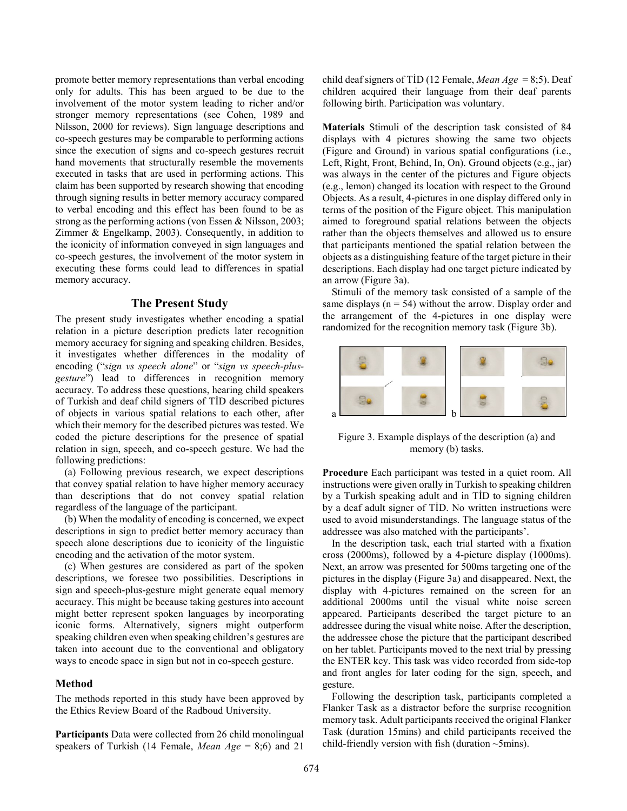promote better memory representations than verbal encoding only for adults. This has been argued to be due to the involvement of the motor system leading to richer and/or stronger memory representations (see Cohen, 1989 and Nilsson, 2000 for reviews). Sign language descriptions and co-speech gestures may be comparable to performing actions since the execution of signs and co-speech gestures recruit hand movements that structurally resemble the movements executed in tasks that are used in performing actions. This claim has been supported by research showing that encoding through signing results in better memory accuracy compared to verbal encoding and this effect has been found to be as strong as the performing actions (von Essen & Nilsson, 2003; Zimmer & Engelkamp, 2003). Consequently, in addition to the iconicity of information conveyed in sign languages and co-speech gestures, the involvement of the motor system in executing these forms could lead to differences in spatial memory accuracy.

# **The Present Study**

The present study investigates whether encoding a spatial relation in a picture description predicts later recognition memory accuracy for signing and speaking children. Besides, it investigates whether differences in the modality of encoding ("*sign vs speech alone*" or "*sign vs speech-plusgesture*") lead to differences in recognition memory accuracy. To address these questions, hearing child speakers of Turkish and deaf child signers of TİD described pictures of objects in various spatial relations to each other, after which their memory for the described pictures was tested. We coded the picture descriptions for the presence of spatial relation in sign, speech, and co-speech gesture. We had the following predictions:

(a) Following previous research, we expect descriptions that convey spatial relation to have higher memory accuracy than descriptions that do not convey spatial relation regardless of the language of the participant.

(b) When the modality of encoding is concerned, we expect descriptions in sign to predict better memory accuracy than speech alone descriptions due to iconicity of the linguistic encoding and the activation of the motor system.

(c) When gestures are considered as part of the spoken descriptions, we foresee two possibilities. Descriptions in sign and speech-plus-gesture might generate equal memory accuracy. This might be because taking gestures into account might better represent spoken languages by incorporating iconic forms. Alternatively, signers might outperform speaking children even when speaking children's gestures are taken into account due to the conventional and obligatory ways to encode space in sign but not in co-speech gesture.

### **Method**

The methods reported in this study have been approved by the Ethics Review Board of the Radboud University.

**Participants** Data were collected from 26 child monolingual speakers of Turkish (14 Female, *Mean Age* = 8;6) and 21 child deaf signers of TİD (12 Female, *Mean Age* = 8;5). Deaf children acquired their language from their deaf parents following birth. Participation was voluntary.

**Materials** Stimuli of the description task consisted of 84 displays with 4 pictures showing the same two objects (Figure and Ground) in various spatial configurations (i.e., Left, Right, Front, Behind, In, On). Ground objects (e.g., jar) was always in the center of the pictures and Figure objects (e.g., lemon) changed its location with respect to the Ground Objects. As a result, 4-pictures in one display differed only in terms of the position of the Figure object. This manipulation aimed to foreground spatial relations between the objects rather than the objects themselves and allowed us to ensure that participants mentioned the spatial relation between the objects as a distinguishing feature of the target picture in their descriptions. Each display had one target picture indicated by an arrow (Figure 3a).

Stimuli of the memory task consisted of a sample of the same displays ( $n = 54$ ) without the arrow. Display order and the arrangement of the 4-pictures in one display were randomized for the recognition memory task (Figure 3b).



Figure 3. Example displays of the description (a) and memory (b) tasks.

**Procedure** Each participant was tested in a quiet room. All instructions were given orally in Turkish to speaking children by a Turkish speaking adult and in TİD to signing children by a deaf adult signer of TİD. No written instructions were used to avoid misunderstandings. The language status of the addressee was also matched with the participants'.

In the description task, each trial started with a fixation cross (2000ms), followed by a 4-picture display (1000ms). Next, an arrow was presented for 500ms targeting one of the pictures in the display (Figure 3a) and disappeared. Next, the display with 4-pictures remained on the screen for an additional 2000ms until the visual white noise screen appeared. Participants described the target picture to an addressee during the visual white noise. After the description, the addressee chose the picture that the participant described on her tablet. Participants moved to the next trial by pressing the ENTER key. This task was video recorded from side-top and front angles for later coding for the sign, speech, and gesture.

Following the description task, participants completed a Flanker Task as a distractor before the surprise recognition memory task. Adult participants received the original Flanker Task (duration 15mins) and child participants received the child-friendly version with fish (duration  $\sim$ 5mins).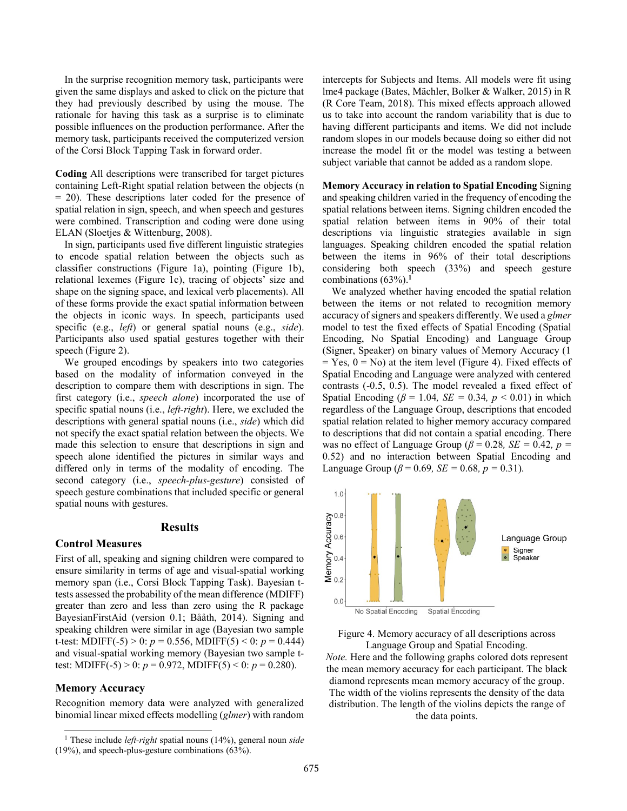In the surprise recognition memory task, participants were given the same displays and asked to click on the picture that they had previously described by using the mouse. The rationale for having this task as a surprise is to eliminate possible influences on the production performance. After the memory task, participants received the computerized version of the Corsi Block Tapping Task in forward order.

**Coding** All descriptions were transcribed for target pictures containing Left-Right spatial relation between the objects (n = 20). These descriptions later coded for the presence of spatial relation in sign, speech, and when speech and gestures were combined. Transcription and coding were done using ELAN (Sloetjes & Wittenburg, 2008).

In sign, participants used five different linguistic strategies to encode spatial relation between the objects such as classifier constructions (Figure 1a), pointing (Figure 1b), relational lexemes (Figure 1c), tracing of objects' size and shape on the signing space, and lexical verb placements). All of these forms provide the exact spatial information between the objects in iconic ways. In speech, participants used specific (e.g., *left*) or general spatial nouns (e.g., *side*). Participants also used spatial gestures together with their speech (Figure 2).

We grouped encodings by speakers into two categories based on the modality of information conveyed in the description to compare them with descriptions in sign. The first category (i.e., *speech alone*) incorporated the use of specific spatial nouns (i.e., *left-right*). Here, we excluded the descriptions with general spatial nouns (i.e., *side*) which did not specify the exact spatial relation between the objects. We made this selection to ensure that descriptions in sign and speech alone identified the pictures in similar ways and differed only in terms of the modality of encoding. The second category (i.e., *speech-plus-gesture*) consisted of speech gesture combinations that included specific or general spatial nouns with gestures.

### **Results**

### **Control Measures**

First of all, speaking and signing children were compared to ensure similarity in terms of age and visual-spatial working memory span (i.e., Corsi Block Tapping Task). Bayesian ttests assessed the probability of the mean difference (MDIFF) greater than zero and less than zero using the R package BayesianFirstAid (version 0.1; Bååth, 2014). Signing and speaking children were similar in age (Bayesian two sample t-test: MDIFF(-5) > 0:  $p = 0.556$ , MDIFF(5) < 0:  $p = 0.444$ ) and visual-spatial working memory (Bayesian two sample ttest: MDIFF(-5) > 0:  $p = 0.972$ , MDIFF(5) < 0:  $p = 0.280$ ).

## **Memory Accuracy**

l

Recognition memory data were analyzed with generalized binomial linear mixed effects modelling (*glmer*) with random intercepts for Subjects and Items. All models were fit using lme4 package (Bates, Mächler, Bolker & Walker, 2015) in R (R Core Team, 2018). This mixed effects approach allowed us to take into account the random variability that is due to having different participants and items. We did not include random slopes in our models because doing so either did not increase the model fit or the model was testing a between subject variable that cannot be added as a random slope.

**Memory Accuracy in relation to Spatial Encoding** Signing and speaking children varied in the frequency of encoding the spatial relations between items. Signing children encoded the spatial relation between items in 90% of their total descriptions via linguistic strategies available in sign languages. Speaking children encoded the spatial relation between the items in 96% of their total descriptions considering both speech (33%) and speech gesture combinations (63%). **1**

We analyzed whether having encoded the spatial relation between the items or not related to recognition memory accuracy of signers and speakers differently. We used a *glmer* model to test the fixed effects of Spatial Encoding (Spatial Encoding, No Spatial Encoding) and Language Group (Signer, Speaker) on binary values of Memory Accuracy (1  $=$  Yes,  $0 =$  No) at the item level (Figure 4). Fixed effects of Spatial Encoding and Language were analyzed with centered contrasts (-0.5, 0.5). The model revealed a fixed effect of Spatial Encoding ( $\beta$  = 1.04*, SE* = 0.34*, p* < 0.01) in which regardless of the Language Group, descriptions that encoded spatial relation related to higher memory accuracy compared to descriptions that did not contain a spatial encoding. There was no effect of Language Group ( $\beta$  = 0.28*, SE* = 0.42*, p* = 0.52) and no interaction between Spatial Encoding and Language Group ( $\beta$  = 0.69, *SE* = 0.68,  $p$  = 0.31).





*Note.* Here and the following graphs colored dots represent the mean memory accuracy for each participant. The black diamond represents mean memory accuracy of the group. The width of the violins represents the density of the data distribution. The length of the violins depicts the range of the data points.

<sup>1</sup> These include *left-right* spatial nouns (14%), general noun *side* (19%), and speech-plus-gesture combinations (63%).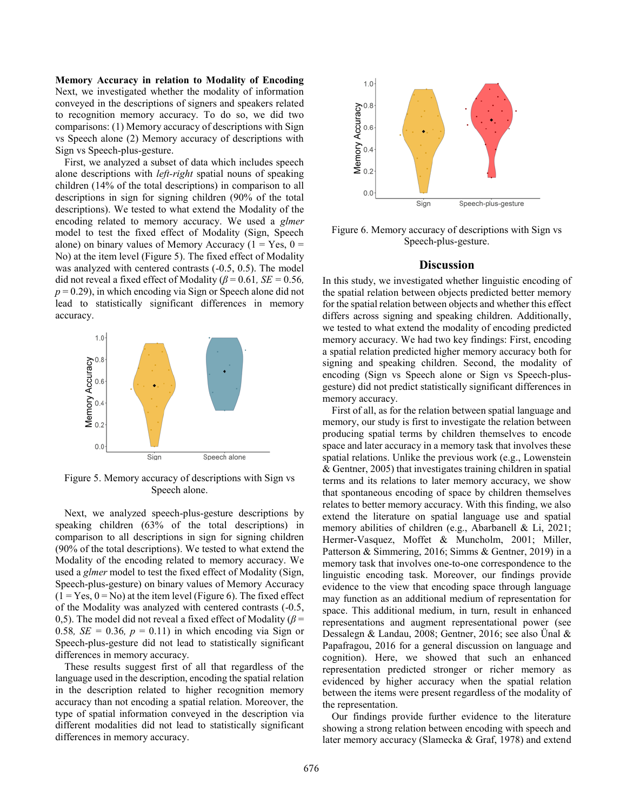**Memory Accuracy in relation to Modality of Encoding**  Next, we investigated whether the modality of information conveyed in the descriptions of signers and speakers related to recognition memory accuracy. To do so, we did two comparisons: (1) Memory accuracy of descriptions with Sign vs Speech alone (2) Memory accuracy of descriptions with Sign vs Speech-plus-gesture.

First, we analyzed a subset of data which includes speech alone descriptions with *left-right* spatial nouns of speaking children (14% of the total descriptions) in comparison to all descriptions in sign for signing children (90% of the total descriptions). We tested to what extend the Modality of the encoding related to memory accuracy. We used a *glmer* model to test the fixed effect of Modality (Sign, Speech alone) on binary values of Memory Accuracy ( $1 = Yes$ ,  $0 =$ No) at the item level (Figure 5). The fixed effect of Modality was analyzed with centered contrasts (-0.5, 0.5). The model did not reveal a fixed effect of Modality ( $\beta$  = 0.61*, SE* = 0.56*,*  $p = 0.29$ ), in which encoding via Sign or Speech alone did not lead to statistically significant differences in memory accuracy.



Figure 5. Memory accuracy of descriptions with Sign vs Speech alone.

Next, we analyzed speech-plus-gesture descriptions by speaking children (63% of the total descriptions) in comparison to all descriptions in sign for signing children (90% of the total descriptions). We tested to what extend the Modality of the encoding related to memory accuracy. We used a *glmer* model to test the fixed effect of Modality (Sign, Speech-plus-gesture) on binary values of Memory Accuracy  $(1 = Yes, 0 = No)$  at the item level (Figure 6). The fixed effect of the Modality was analyzed with centered contrasts (-0.5, 0,5). The model did not reveal a fixed effect of Modality (*β* = 0.58*, SE* = 0.36*, p* = 0.11) in which encoding via Sign or Speech-plus-gesture did not lead to statistically significant differences in memory accuracy.

These results suggest first of all that regardless of the language used in the description, encoding the spatial relation in the description related to higher recognition memory accuracy than not encoding a spatial relation. Moreover, the type of spatial information conveyed in the description via different modalities did not lead to statistically significant differences in memory accuracy.



Figure 6. Memory accuracy of descriptions with Sign vs Speech-plus-gesture.

#### **Discussion**

In this study, we investigated whether linguistic encoding of the spatial relation between objects predicted better memory for the spatial relation between objects and whether this effect differs across signing and speaking children. Additionally, we tested to what extend the modality of encoding predicted memory accuracy. We had two key findings: First, encoding a spatial relation predicted higher memory accuracy both for signing and speaking children. Second, the modality of encoding (Sign vs Speech alone or Sign vs Speech-plusgesture) did not predict statistically significant differences in memory accuracy.

First of all, as for the relation between spatial language and memory, our study is first to investigate the relation between producing spatial terms by children themselves to encode space and later accuracy in a memory task that involves these spatial relations. Unlike the previous work (e.g., Lowenstein & Gentner, 2005) that investigates training children in spatial terms and its relations to later memory accuracy, we show that spontaneous encoding of space by children themselves relates to better memory accuracy. With this finding, we also extend the literature on spatial language use and spatial memory abilities of children (e.g., Abarbanell & Li, 2021; Hermer-Vasquez, Moffet & Muncholm, 2001; Miller, Patterson & Simmering, 2016; Simms & Gentner, 2019) in a memory task that involves one-to-one correspondence to the linguistic encoding task. Moreover, our findings provide evidence to the view that encoding space through language may function as an additional medium of representation for space. This additional medium, in turn, result in enhanced representations and augment representational power (see Dessalegn & Landau, 2008; Gentner, 2016; see also Ünal & Papafragou, 2016 for a general discussion on language and cognition). Here, we showed that such an enhanced representation predicted stronger or richer memory as evidenced by higher accuracy when the spatial relation between the items were present regardless of the modality of the representation.

Our findings provide further evidence to the literature showing a strong relation between encoding with speech and later memory accuracy (Slamecka & Graf, 1978) and extend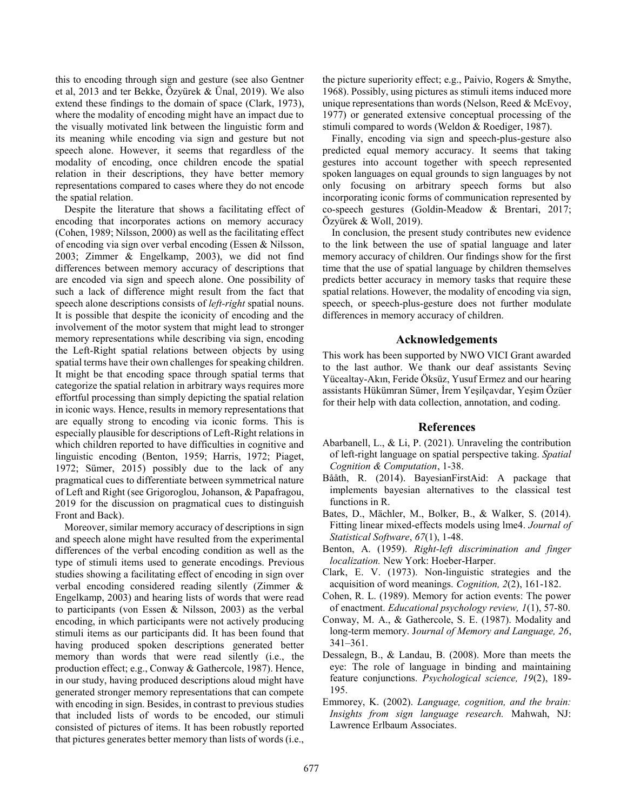this to encoding through sign and gesture (see also Gentner et al, 2013 and ter Bekke, Özyürek & Ünal, 2019). We also extend these findings to the domain of space (Clark, 1973), where the modality of encoding might have an impact due to the visually motivated link between the linguistic form and its meaning while encoding via sign and gesture but not speech alone. However, it seems that regardless of the modality of encoding, once children encode the spatial relation in their descriptions, they have better memory representations compared to cases where they do not encode the spatial relation.

Despite the literature that shows a facilitating effect of encoding that incorporates actions on memory accuracy (Cohen, 1989; Nilsson, 2000) as well as the facilitating effect of encoding via sign over verbal encoding (Essen & Nilsson, 2003; Zimmer & Engelkamp, 2003), we did not find differences between memory accuracy of descriptions that are encoded via sign and speech alone. One possibility of such a lack of difference might result from the fact that speech alone descriptions consists of *left-right* spatial nouns. It is possible that despite the iconicity of encoding and the involvement of the motor system that might lead to stronger memory representations while describing via sign, encoding the Left-Right spatial relations between objects by using spatial terms have their own challenges for speaking children. It might be that encoding space through spatial terms that categorize the spatial relation in arbitrary ways requires more effortful processing than simply depicting the spatial relation in iconic ways. Hence, results in memory representations that are equally strong to encoding via iconic forms. This is especially plausible for descriptions of Left-Right relations in which children reported to have difficulties in cognitive and linguistic encoding (Benton, 1959; Harris, 1972; Piaget, 1972; Sümer, 2015) possibly due to the lack of any pragmatical cues to differentiate between symmetrical nature of Left and Right (see Grigoroglou, Johanson, & Papafragou, 2019 for the discussion on pragmatical cues to distinguish Front and Back).

Moreover, similar memory accuracy of descriptions in sign and speech alone might have resulted from the experimental differences of the verbal encoding condition as well as the type of stimuli items used to generate encodings. Previous studies showing a facilitating effect of encoding in sign over verbal encoding considered reading silently (Zimmer & Engelkamp, 2003) and hearing lists of words that were read to participants (von Essen & Nilsson, 2003) as the verbal encoding, in which participants were not actively producing stimuli items as our participants did. It has been found that having produced spoken descriptions generated better memory than words that were read silently (i.e., the production effect; e.g., Conway & Gathercole, 1987). Hence, in our study, having produced descriptions aloud might have generated stronger memory representations that can compete with encoding in sign. Besides, in contrast to previous studies that included lists of words to be encoded, our stimuli consisted of pictures of items. It has been robustly reported that pictures generates better memory than lists of words (i.e., the picture superiority effect; e.g., Paivio, Rogers & Smythe, 1968). Possibly, using pictures as stimuli items induced more unique representations than words (Nelson, Reed & McEvoy, 1977) or generated extensive conceptual processing of the stimuli compared to words (Weldon & Roediger, 1987).

Finally, encoding via sign and speech-plus-gesture also predicted equal memory accuracy. It seems that taking gestures into account together with speech represented spoken languages on equal grounds to sign languages by not only focusing on arbitrary speech forms but also incorporating iconic forms of communication represented by co-speech gestures (Goldin-Meadow & Brentari, 2017; Özyürek & Woll, 2019).

In conclusion, the present study contributes new evidence to the link between the use of spatial language and later memory accuracy of children. Our findings show for the first time that the use of spatial language by children themselves predicts better accuracy in memory tasks that require these spatial relations. However, the modality of encoding via sign, speech, or speech-plus-gesture does not further modulate differences in memory accuracy of children.

## **Acknowledgements**

This work has been supported by NWO VICI Grant awarded to the last author. We thank our deaf assistants Sevinç Yücealtay-Akın, Feride Öksüz, Yusuf Ermez and our hearing assistants Hükümran Sümer, İrem Yeşilçavdar, Yeşim Özüer for their help with data collection, annotation, and coding.

### **References**

- Abarbanell, L., & Li, P. (2021). Unraveling the contribution of left-right language on spatial perspective taking. *Spatial Cognition & Computation*, 1-38.
- Bååth, R. (2014). BayesianFirstAid: A package that implements bayesian alternatives to the classical test functions in R.
- Bates, D., Mächler, M., Bolker, B., & Walker, S. (2014). Fitting linear mixed-effects models using lme4. *Journal of Statistical Software*, *67*(1), 1-48.
- Benton, A. (1959). *Right-left discrimination and finger localization.* New York: Hoeber-Harper.
- Clark, E. V. (1973). Non-linguistic strategies and the acquisition of word meanings. *Cognition, 2*(2), 161-182.
- Cohen, R. L. (1989). Memory for action events: The power of enactment. *Educational psychology review, 1*(1), 57-80.
- Conway, M. A., & Gathercole, S. E. (1987). Modality and long-term memory. J*ournal of Memory and Language, 26*, 341–361.
- Dessalegn, B., & Landau, B. (2008). More than meets the eye: The role of language in binding and maintaining feature conjunctions. *Psychological science, 19*(2), 189- 195.
- Emmorey, K. (2002). *Language, cognition, and the brain: Insights from sign language research.* Mahwah, NJ: Lawrence Erlbaum Associates.